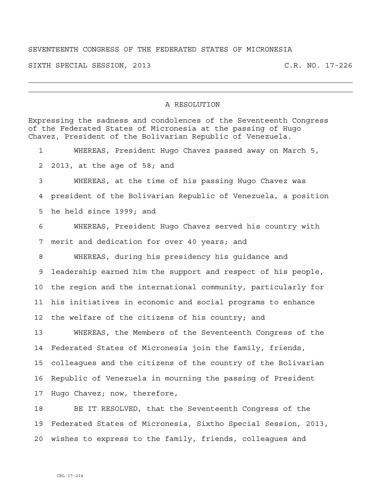## SEVENTEENTH CONGRESS OF THE FEDERATED STATES OF MICRONESIA

SIXTH SPECIAL SESSION, 2013 C.R. NO. 17-226

## A RESOLUTION

Expressing the sadness and condolences of the Seventeenth Congress of the Federated States of Micronesia at the passing of Hugo Chavez, President of the Bolivarian Republic of Venezuela. 1 WHEREAS, President Hugo Chavez passed away on March 5, 2 2013, at the age of 58; and 3 WHEREAS, at the time of his passing Hugo Chavez was 4 president of the Bolivarian Republic of Venezuela, a position 5 he held since 1999; and 6 WHEREAS, President Hugo Chavez served his country with 7 merit and dedication for over 40 years; and 8 WHEREAS, during his presidency his guidance and 9 leadership earned him the support and respect of his people, 10 the region and the international community, particularly for 11 his initiatives in economic and social programs to enhance 12 the welfare of the citizens of his country; and 13 WHEREAS, the Members of the Seventeenth Congress of the 14 Federated States of Micronesia join the family, friends, 15 colleagues and the citizens of the country of the Bolivarian 16 Republic of Venezuela in mourning the passing of President 17 Hugo Chavez; now, therefore, 18 BE IT RESOLVED, that the Seventeenth Congress of the 19 Federated States of Micronesia, Sixtho Special Session, 2013,